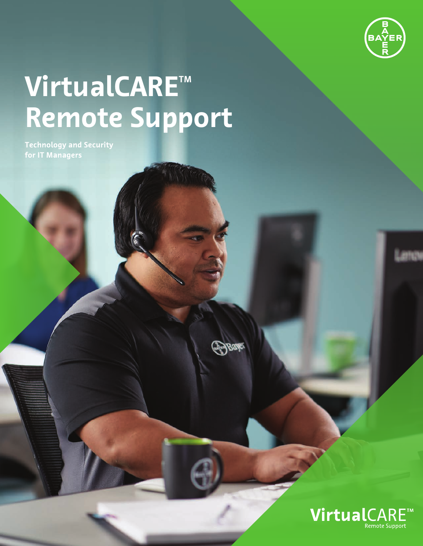

# **VirtualCARE™ Remote Support**

**Technology and Security for IT Managers**

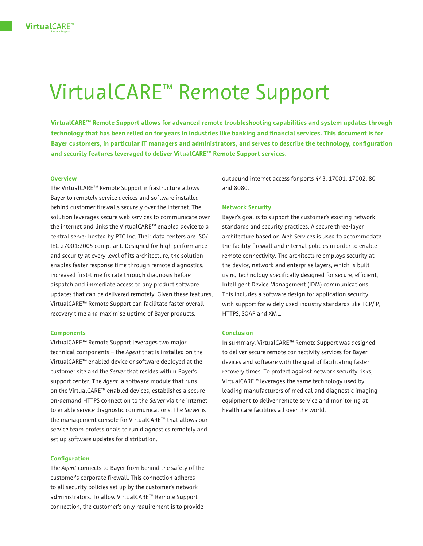# VirtualCARE<sup>™</sup> Remote Support

**VirtualCARE™ Remote Support allows for advanced remote troubleshooting capabilities and system updates through technology that has been relied on for years in industries like banking and financial services. This document is for Bayer customers, in particular IT managers and administrators, and serves to describe the technology, configuration and security features leveraged to deliver VitualCARE™ Remote Support services.**

#### **Overview**

The VirtualCARE™ Remote Support infrastructure allows Bayer to remotely service devices and software installed behind customer firewalls securely over the internet. The solution leverages secure web services to communicate over the internet and links the VirtualCARE™ enabled device to a central server hosted by PTC Inc. Their data centers are ISO/ IEC 27001:2005 compliant. Designed for high performance and security at every level of its architecture, the solution enables faster response time through remote diagnostics, increased first-time fix rate through diagnosis before dispatch and immediate access to any product software updates that can be delivered remotely. Given these features, VirtualCARE™ Remote Support can facilitate faster overall recovery time and maximise uptime of Bayer products.

#### **Components**

VirtualCARE™ Remote Support leverages two major technical components – the *Agent* that is installed on the VirtualCARE™ enabled device or software deployed at the customer site and the *Server* that resides within Bayer's support center. The *Agent*, a software module that runs on the VirtualCARE™ enabled devices, establishes a secure on-demand HTTPS connection to the *Server* via the internet to enable service diagnostic communications. The *Server* is the management console for VirtualCARE™ that allows our service team professionals to run diagnostics remotely and set up software updates for distribution.

#### **Configuration**

The *Agent* connects to Bayer from behind the safety of the customer's corporate firewall. This connection adheres to all security policies set up by the customer's network administrators. To allow VirtualCARE™ Remote Support connection, the customer's only requirement is to provide

outbound internet access for ports 443, 17001, 17002, 80 and 8080.

#### **Network Security**

Bayer's goal is to support the customer's existing network standards and security practices. A secure three-layer architecture based on Web Services is used to accommodate the facility firewall and internal policies in order to enable remote connectivity. The architecture employs security at the device, network and enterprise layers, which is built using technology specifically designed for secure, efficient, Intelligent Device Management (IDM) communications. This includes a software design for application security with support for widely used industry standards like TCP/IP, HTTPS, SOAP and XML.

#### **Conclusion**

In summary, VirtualCARE™ Remote Support was designed to deliver secure remote connectivity services for Bayer devices and software with the goal of facilitating faster recovery times. To protect against network security risks, VirtualCARE™ leverages the same technology used by leading manufacturers of medical and diagnostic imaging equipment to deliver remote service and monitoring at health care facilities all over the world.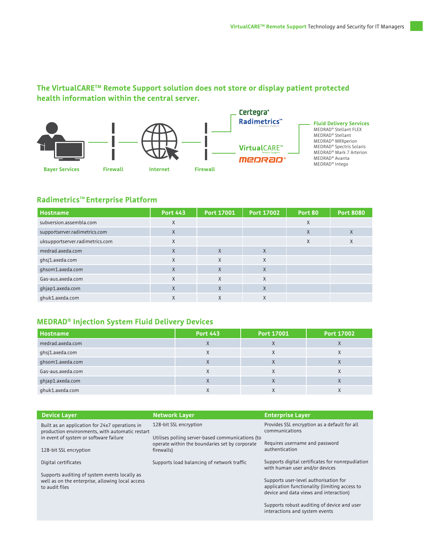# **The VirtualCARETM Remote Support solution does not store or display patient protected health information within the central server.**



# **Radimetrics<sup>™</sup> Enterprise Platform**

to audit files

| <b>Hostname</b>                 | <b>Port 443</b> | Port 17001 | Port 17002 | Port 80 | <b>Port 8080</b> |
|---------------------------------|-----------------|------------|------------|---------|------------------|
| subversion.assembla.com         | X               |            |            | X       |                  |
| supportserver.radimetrics.com   | X               |            |            | X       | X                |
| uksupportserver.radimetrics.com | X               |            |            | X       | X                |
| medrad.axeda.com                | $\mathsf{X}$    | $\sf X$    | $\times$   |         |                  |
| ghsj1.axeda.com                 | X               | X          | $\times$   |         |                  |
| qhsom1.axeda.com                | $\mathsf{X}$    | $\sf X$    | $\sf X$    |         |                  |
| Gas-aus.axeda.com               | X               | X          | X          |         |                  |
| ghjap1.axeda.com                | $\mathsf{X}$    | $\sf X$    | $\sf X$    |         |                  |
| ghuk1.axeda.com                 | X               | X          | X          |         |                  |

### **MEDRAD® Injection System Fluid Delivery Devices**

| Hostname          | <b>Port 443</b> | Port 17001 | <b>Port 17002</b> |
|-------------------|-----------------|------------|-------------------|
| medrad.axeda.com  | A               | X          | $\Lambda$         |
| ghsj1.axeda.com   |                 | $\lambda$  | $\Lambda$         |
| ghsom1.axeda.com  |                 | $\lambda$  |                   |
| Gas-aus.axeda.com | ⋏               | Χ          | $\Lambda$         |
| ghjap1.axeda.com  |                 | $\Lambda$  |                   |
| ghuk1.axeda.com   |                 |            |                   |

| <b>Device Layer</b>                                                                               | <b>Network Layer</b>                                                                               | <b>Enterprise Layer</b>                                                            |  |
|---------------------------------------------------------------------------------------------------|----------------------------------------------------------------------------------------------------|------------------------------------------------------------------------------------|--|
| Built as an application for 24x7 operations in<br>production environments, with automatic restart | 128-bit SSL encryption                                                                             | Provides SSL encryption as a default for all<br>communications                     |  |
| in event of system or software failure                                                            | Utilises polling server-based communications (to<br>operate within the boundaries set by corporate | Requires username and password                                                     |  |
| 128-bit SSL encryption                                                                            | firewalls)                                                                                         | authentication                                                                     |  |
| Digital certificates                                                                              | Supports load balancing of network traffic                                                         | Supports digital certificates for nonrepudiation<br>with human user and/or devices |  |
| Supports auditing of system events locally as<br>well as on the enterprise, allowing local access |                                                                                                    | Supports user-level authorisation for                                              |  |

Supports user-level authorisation for application functionality (limiting access to device and data views and interaction)

Supports robust auditing of device and user interactions and system events